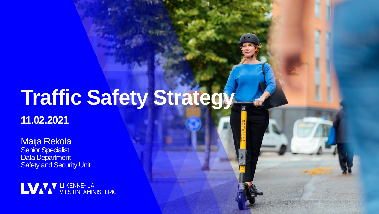# **Traffic Safety Strategy**

**11.02.2021**

Maija Rekola **Senior Specialist** Data Department **Safety and Security Unit** 

LVAV UIKENNE- JA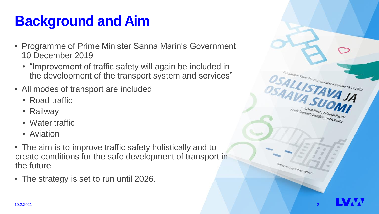# **Background and Aim**

- Programme of Prime Minister Sanna Marin's Government 10 December 2019
	- "Improvement of traffic safety will again be included in the development of the transport system and services"
- All modes of transport are included
	- Road traffic
	- Railway
	- Water traffic
	- Aviation
- The aim is to improve traffic safety holistically and to create conditions for the safe development of transport in the future
- The strategy is set to run until 2026.



steri sama Marinin hallhuksen ohjelma 10.12.2019

OSALLISTAVAJA

ologisesti kestävä yhteiskunta

OSAAVA SUL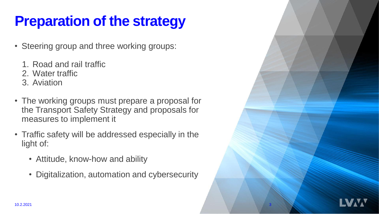# **Preparation of the strategy**

- Steering group and three working groups:
	- 1. Road and rail traffic
	- 2. Water traffic
	- 3. Aviation
- The working groups must prepare a proposal for the Transport Safety Strategy and proposals for measures to implement it
- Traffic safety will be addressed especially in the light of:
	- Attitude, know-how and ability
	- Digitalization, automation and cybersecurity

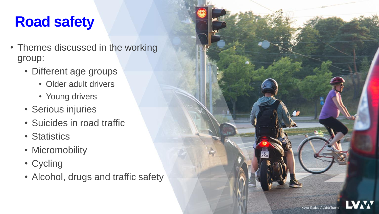## **Road safety**

- Themes discussed in the working group:
	- Different age groups
		- Older adult drivers
		- Young drivers
	- Serious injuries
	- Suicides in road traffic
	- Statistics
	- Micromobility
	- Cycling
	- Alcohol, drugs and traffic safety

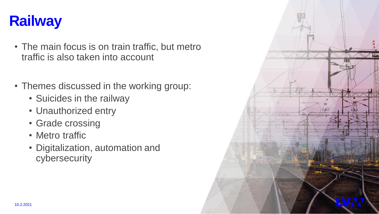

- The main focus is on train traffic, but metro traffic is also taken into account
- Themes discussed in the working group:
	- Suicides in the railway
	- Unauthorized entry
	- Grade crossing
	- Metro traffic
	- Digitalization, automation and cybersecurity

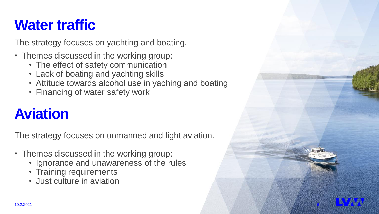## **Water traffic**

The strategy focuses on yachting and boating.

- Themes discussed in the working group:
	- The effect of safety communication
	- Lack of boating and yachting skills
	- Attitude towards alcohol use in yaching and boating
	- Financing of water safety work

# **Aviation**

The strategy focuses on unmanned and light aviation.

- Themes discussed in the working group:
	- Ignorance and unawareness of the rules
	- Training requirements
	- Just culture in aviation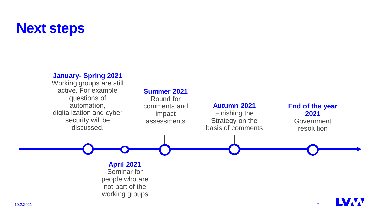### **Next steps**

### **January- Spring 2021**

Working groups are still active. For example questions of automation, digitalization and cyber security will be discussed.

#### **Summer 2021**

Round for comments and impact assessments

#### **Autumn 2021**  Finishing the Strategy on the basis of comments

**End of the year 2021**  Government resolution

**April 2021** Seminar for people who are not part of the working groups